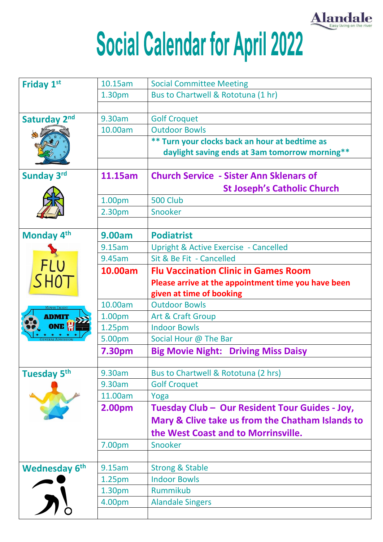

## Social Calendar for April 2022

| <b>Friday 1st</b>       | 10.15am            | <b>Social Committee Meeting</b>                     |
|-------------------------|--------------------|-----------------------------------------------------|
|                         | 1.30pm             | Bus to Chartwell & Rototuna (1 hr)                  |
|                         |                    |                                                     |
| Saturday 2nd            | 9.30am             | <b>Golf Croquet</b>                                 |
|                         | 10.00am            | <b>Outdoor Bowls</b>                                |
|                         |                    | ** Turn your clocks back an hour at bedtime as      |
|                         |                    | daylight saving ends at 3am tomorrow morning**      |
|                         |                    |                                                     |
| <b>Sunday 3rd</b>       | 11.15am            | <b>Church Service - Sister Ann Sklenars of</b>      |
|                         |                    | <b>St Joseph's Catholic Church</b>                  |
|                         | 1.00pm             | <b>500 Club</b>                                     |
|                         | 2.30pm             | Snooker                                             |
|                         |                    |                                                     |
| Monday 4 <sup>th</sup>  | <b>9.00am</b>      | <b>Podiatrist</b>                                   |
|                         | 9.15am             | <b>Upright &amp; Active Exercise - Cancelled</b>    |
|                         | 9.45am             | Sit & Be Fit - Cancelled                            |
| FLU                     | 10.00am            | <b>Flu Vaccination Clinic in Games Room</b>         |
| SHOT                    |                    | Please arrive at the appointment time you have been |
|                         |                    | given at time of booking                            |
|                         | 10.00am            | <b>Outdoor Bowls</b>                                |
| <b>ADMIT</b>            | 1.00pm             | Art & Craft Group                                   |
| ONE <sup>L</sup>        | 1.25pm             | <b>Indoor Bowls</b>                                 |
|                         | 5.00pm             | Social Hour @ The Bar                               |
|                         | <b>7.30pm</b>      | <b>Big Movie Night: Driving Miss Daisy</b>          |
|                         |                    |                                                     |
| Tuesday 5 <sup>th</sup> | 9.30am             | Bus to Chartwell & Rototuna (2 hrs)                 |
|                         | 9.30am             | <b>Golf Croquet</b>                                 |
|                         | 11.00am            | Yoga                                                |
|                         | 2.00pm             | Tuesday Club - Our Resident Tour Guides - Joy,      |
|                         |                    | Mary & Clive take us from the Chatham Islands to    |
|                         |                    | the West Coast and to Morrinsville.                 |
|                         | 7.00pm             | Snooker                                             |
|                         |                    |                                                     |
| <b>Wednesday 6th</b>    | 9.15am             | <b>Strong &amp; Stable</b>                          |
|                         | 1.25 <sub>pm</sub> | <b>Indoor Bowls</b>                                 |
|                         | 1.30 <sub>pm</sub> | Rummikub                                            |
|                         | 4.00pm             | <b>Alandale Singers</b>                             |
|                         |                    |                                                     |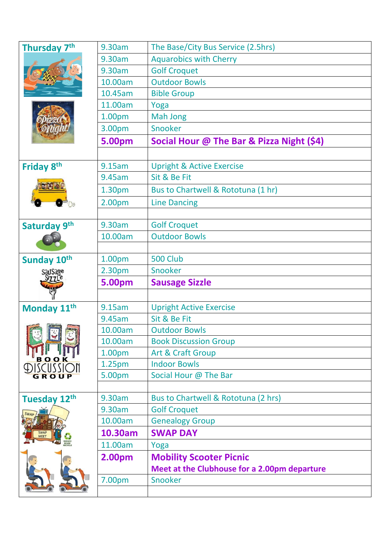| Thursday 7th               | 9.30am             | The Base/City Bus Service (2.5hrs)           |
|----------------------------|--------------------|----------------------------------------------|
|                            | 9.30am             | <b>Aquarobics with Cherry</b>                |
|                            | 9.30am             | <b>Golf Croquet</b>                          |
|                            | 10.00am            | <b>Outdoor Bowls</b>                         |
|                            | 10.45am            | <b>Bible Group</b>                           |
|                            | 11.00am            | Yoga                                         |
|                            | 1.00pm             | <b>Mah Jong</b>                              |
|                            | 3.00pm             | Snooker                                      |
|                            | 5.00pm             | Social Hour @ The Bar & Pizza Night (\$4)    |
|                            |                    |                                              |
| Friday 8th                 | 9.15am             | <b>Upright &amp; Active Exercise</b>         |
|                            | 9.45am             | Sit & Be Fit                                 |
|                            | 1.30pm             | Bus to Chartwell & Rototuna (1 hr)           |
|                            | 2.00pm             | <b>Line Dancing</b>                          |
|                            |                    |                                              |
| Saturday 9th               | 9.30am             | <b>Golf Croquet</b>                          |
|                            | 10.00am            | <b>Outdoor Bowls</b>                         |
|                            |                    |                                              |
| Sunday 10th                | 1.00pm             | 500 Club                                     |
| SauSage                    |                    | Snooker                                      |
|                            | 2.30pm             |                                              |
|                            | 5.00pm             | <b>Sausage Sizzle</b>                        |
|                            |                    |                                              |
|                            | 9.15am             | <b>Upright Active Exercise</b>               |
| Monday 11th                | 9.45am             | Sit & Be Fit                                 |
|                            | 10.00am            | <b>Outdoor Bowls</b>                         |
|                            | 10.00am            | <b>Book Discussion Group</b>                 |
|                            | 1.00pm             | <b>Art &amp; Craft Group</b>                 |
| CIISSI                     | 1.25 <sub>pm</sub> | <b>Indoor Bowls</b>                          |
| GROUP                      | 5.00pm             | Social Hour @ The Bar                        |
|                            |                    |                                              |
| Tuesday 12th               | 9.30am             | Bus to Chartwell & Rototuna (2 hrs)          |
|                            | 9.30am             | <b>Golf Croquet</b>                          |
|                            | 10.00am            | <b>Genealogy Group</b>                       |
| <b>SWAP</b><br><b>MEET</b> | 10.30am            | <b>SWAP DAY</b>                              |
|                            | 11.00am            | Yoga                                         |
|                            | 2.00pm             | <b>Mobility Scooter Picnic</b>               |
|                            |                    | Meet at the Clubhouse for a 2.00pm departure |
|                            | 7.00pm             | Snooker                                      |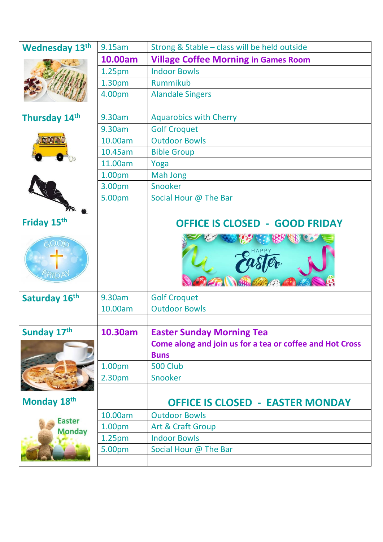| <b>Wednesday 13th</b>                  | 9.15am             | Strong & Stable - class will be held outside                                                 |
|----------------------------------------|--------------------|----------------------------------------------------------------------------------------------|
|                                        | 10.00am            | <b>Village Coffee Morning in Games Room</b>                                                  |
|                                        | 1.25 <sub>pm</sub> | <b>Indoor Bowls</b>                                                                          |
|                                        | 1.30pm             | Rummikub                                                                                     |
|                                        | 4.00pm             | <b>Alandale Singers</b>                                                                      |
|                                        |                    |                                                                                              |
| Thursday 14th                          | 9.30am             | <b>Aquarobics with Cherry</b>                                                                |
|                                        | 9.30am             | <b>Golf Croquet</b>                                                                          |
|                                        | 10.00am            | <b>Outdoor Bowls</b>                                                                         |
|                                        | 10.45am            | <b>Bible Group</b>                                                                           |
|                                        | 11.00am            | Yoga                                                                                         |
|                                        | 1.00pm             | <b>Mah Jong</b>                                                                              |
|                                        | 3.00pm             | Snooker                                                                                      |
|                                        | 5.00pm             | Social Hour @ The Bar                                                                        |
|                                        |                    |                                                                                              |
| Friday 15th<br>$\bigcirc$ OOD<br>FRIDA |                    | <b>OFFICE IS CLOSED - GOOD FRIDAY</b>                                                        |
| Saturday 16th                          | 9.30am             | <b>Golf Croquet</b>                                                                          |
|                                        | 10.00am            | <b>Outdoor Bowls</b>                                                                         |
|                                        |                    |                                                                                              |
| Sunday 17th                            | 10.30am            | <b>Easter Sunday Morning Tea</b><br>Come along and join us for a tea or coffee and Hot Cross |
|                                        |                    | <b>Buns</b>                                                                                  |
|                                        | 1.00pm             | <b>500 Club</b>                                                                              |
|                                        | 2.30pm             | Snooker                                                                                      |
|                                        |                    |                                                                                              |
| Monday 18th                            |                    | <b>OFFICE IS CLOSED - EASTER MONDAY</b>                                                      |
| <b>Easter</b>                          | 10.00am            | <b>Outdoor Bowls</b>                                                                         |
| <b>Monday</b>                          | 1.00 <sub>pm</sub> | Art & Craft Group                                                                            |
|                                        | 1.25 <sub>pm</sub> | <b>Indoor Bowls</b>                                                                          |
|                                        | 5.00pm             | Social Hour @ The Bar                                                                        |
|                                        |                    |                                                                                              |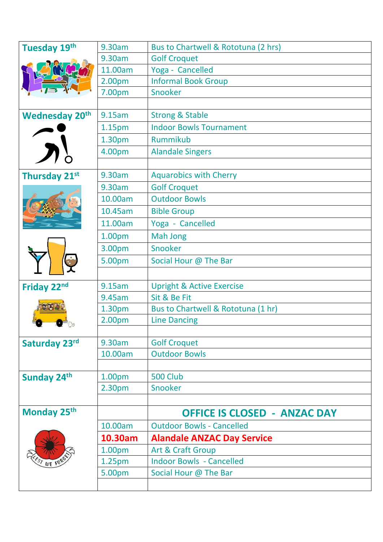| Tuesday 19th            | 9.30am             | Bus to Chartwell & Rototuna (2 hrs)  |
|-------------------------|--------------------|--------------------------------------|
|                         | 9.30am             | <b>Golf Croquet</b>                  |
|                         | 11.00am            | Yoga - Cancelled                     |
|                         | 2.00pm             | <b>Informal Book Group</b>           |
|                         | 7.00pm             | Snooker                              |
|                         |                    |                                      |
| <b>Wednesday 20th</b>   | 9.15am             | <b>Strong &amp; Stable</b>           |
|                         | 1.15 <sub>pm</sub> | <b>Indoor Bowls Tournament</b>       |
|                         | 1.30pm             | Rummikub                             |
|                         | 4.00pm             | <b>Alandale Singers</b>              |
|                         |                    |                                      |
| Thursday 21st           | 9.30am             | <b>Aquarobics with Cherry</b>        |
|                         | 9.30am             | <b>Golf Croquet</b>                  |
|                         | 10.00am            | <b>Outdoor Bowls</b>                 |
|                         | 10.45am            | <b>Bible Group</b>                   |
|                         | 11.00am            | Yoga - Cancelled                     |
|                         | 1.00pm             | <b>Mah Jong</b>                      |
|                         | 3.00pm             | Snooker                              |
|                         | 5.00pm             | Social Hour @ The Bar                |
|                         |                    |                                      |
| Friday 22nd             | 9.15am             | <b>Upright &amp; Active Exercise</b> |
|                         | 9.45am             | Sit & Be Fit                         |
|                         | 1.30pm             | Bus to Chartwell & Rototuna (1 hr)   |
|                         | 2.00pm             | <b>Line Dancing</b>                  |
|                         |                    |                                      |
| Saturday 23rd           | 9.30am             | <b>Golf Croquet</b>                  |
|                         | 10.00am            | <b>Outdoor Bowls</b>                 |
|                         |                    |                                      |
| Sunday 24th             | 1.00pm             | <b>500 Club</b>                      |
|                         | 2.30 <sub>pm</sub> | Snooker                              |
|                         |                    |                                      |
| Monday 25 <sup>th</sup> |                    | <b>OFFICE IS CLOSED - ANZAC DAY</b>  |
|                         | 10.00am            | <b>Outdoor Bowls - Cancelled</b>     |
|                         | 10.30am            | <b>Alandale ANZAC Day Service</b>    |
|                         | 1.00pm             | <b>Art &amp; Craft Group</b>         |
| $s_t$ WE FOY            | 1.25 <sub>pm</sub> | <b>Indoor Bowls - Cancelled</b>      |
|                         | 5.00pm             | Social Hour @ The Bar                |
|                         |                    |                                      |